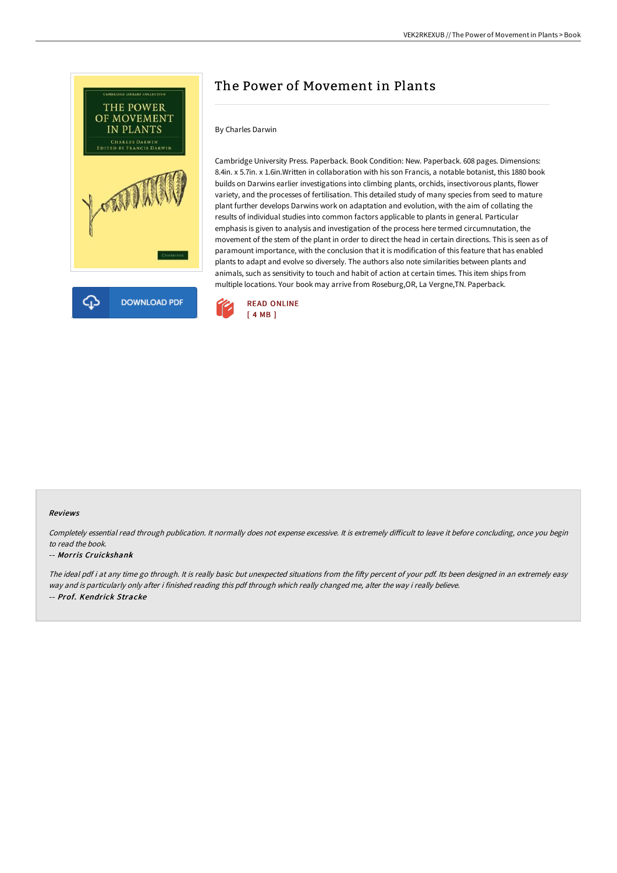

# The Power of Movement in Plants

### By Charles Darwin

Cambridge University Press. Paperback. Book Condition: New. Paperback. 608 pages. Dimensions: 8.4in. x 5.7in. x 1.6in.Written in collaboration with his son Francis, a notable botanist, this 1880 book builds on Darwins earlier investigations into climbing plants, orchids, insectivorous plants, flower variety, and the processes of fertilisation. This detailed study of many species from seed to mature plant further develops Darwins work on adaptation and evolution, with the aim of collating the results of individual studies into common factors applicable to plants in general. Particular emphasis is given to analysis and investigation of the process here termed circumnutation, the movement of the stem of the plant in order to direct the head in certain directions. This is seen as of paramount importance, with the conclusion that it is modification of this feature that has enabled plants to adapt and evolve so diversely. The authors also note similarities between plants and animals, such as sensitivity to touch and habit of action at certain times. This item ships from multiple locations. Your book may arrive from Roseburg,OR, La Vergne,TN. Paperback.



#### Reviews

Completely essential read through publication. It normally does not expense excessive. It is extremely difficult to leave it before concluding, once you begin to read the book.

#### -- Morris Cruickshank

The ideal pdf i at any time go through. It is really basic but unexpected situations from the fifty percent of your pdf. Its been designed in an extremely easy way and is particularly only after i finished reading this pdf through which really changed me, alter the way i really believe. -- Prof. Kendrick Stracke